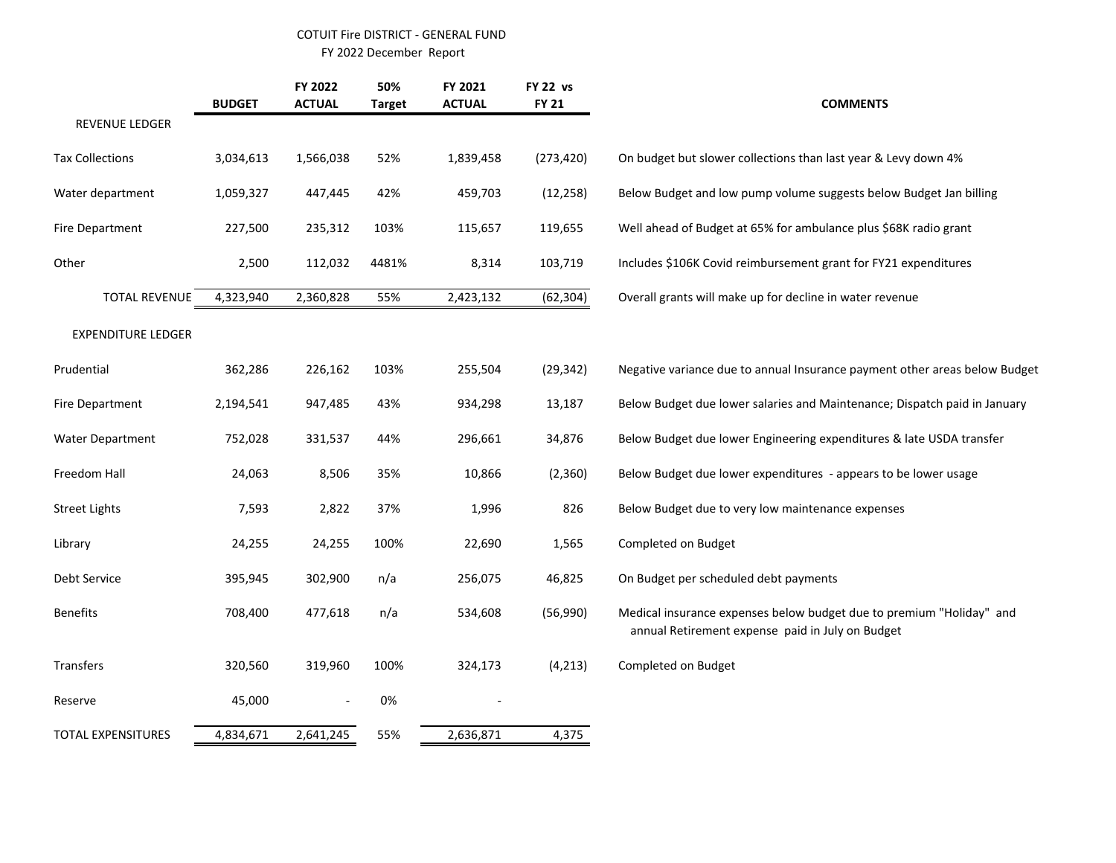## COTUIT Fire DISTRICT - GENERAL FUND

FY 2022 December Report

|                           | <b>BUDGET</b> | FY 2022<br><b>ACTUAL</b> | 50%<br><b>Target</b> | FY 2021<br><b>ACTUAL</b> | <b>FY 22 vs</b><br><b>FY 21</b> | <b>COMMENTS</b>                                                                                                          |
|---------------------------|---------------|--------------------------|----------------------|--------------------------|---------------------------------|--------------------------------------------------------------------------------------------------------------------------|
| REVENUE LEDGER            |               |                          |                      |                          |                                 |                                                                                                                          |
| <b>Tax Collections</b>    | 3,034,613     | 1,566,038                | 52%                  | 1,839,458                | (273, 420)                      | On budget but slower collections than last year & Levy down 4%                                                           |
| Water department          | 1,059,327     | 447,445                  | 42%                  | 459,703                  | (12, 258)                       | Below Budget and low pump volume suggests below Budget Jan billing                                                       |
| Fire Department           | 227,500       | 235,312                  | 103%                 | 115,657                  | 119,655                         | Well ahead of Budget at 65% for ambulance plus \$68K radio grant                                                         |
| Other                     | 2,500         | 112,032                  | 4481%                | 8,314                    | 103,719                         | Includes \$106K Covid reimbursement grant for FY21 expenditures                                                          |
| <b>TOTAL REVENUE</b>      | 4,323,940     | 2,360,828                | 55%                  | 2,423,132                | (62, 304)                       | Overall grants will make up for decline in water revenue                                                                 |
| <b>EXPENDITURE LEDGER</b> |               |                          |                      |                          |                                 |                                                                                                                          |
| Prudential                | 362,286       | 226,162                  | 103%                 | 255,504                  | (29, 342)                       | Negative variance due to annual Insurance payment other areas below Budget                                               |
| Fire Department           | 2,194,541     | 947,485                  | 43%                  | 934,298                  | 13,187                          | Below Budget due lower salaries and Maintenance; Dispatch paid in January                                                |
| <b>Water Department</b>   | 752,028       | 331,537                  | 44%                  | 296,661                  | 34,876                          | Below Budget due lower Engineering expenditures & late USDA transfer                                                     |
| Freedom Hall              | 24,063        | 8,506                    | 35%                  | 10,866                   | (2,360)                         | Below Budget due lower expenditures - appears to be lower usage                                                          |
| <b>Street Lights</b>      | 7,593         | 2,822                    | 37%                  | 1,996                    | 826                             | Below Budget due to very low maintenance expenses                                                                        |
| Library                   | 24,255        | 24,255                   | 100%                 | 22,690                   | 1,565                           | Completed on Budget                                                                                                      |
| Debt Service              | 395,945       | 302,900                  | n/a                  | 256,075                  | 46,825                          | On Budget per scheduled debt payments                                                                                    |
| <b>Benefits</b>           | 708,400       | 477,618                  | n/a                  | 534,608                  | (56,990)                        | Medical insurance expenses below budget due to premium "Holiday" and<br>annual Retirement expense paid in July on Budget |
| Transfers                 | 320,560       | 319,960                  | 100%                 | 324,173                  | (4, 213)                        | Completed on Budget                                                                                                      |
| Reserve                   | 45,000        | $\overline{\phantom{a}}$ | 0%                   |                          |                                 |                                                                                                                          |
| <b>TOTAL EXPENSITURES</b> | 4,834,671     | 2,641,245                | 55%                  | 2,636,871                | 4,375                           |                                                                                                                          |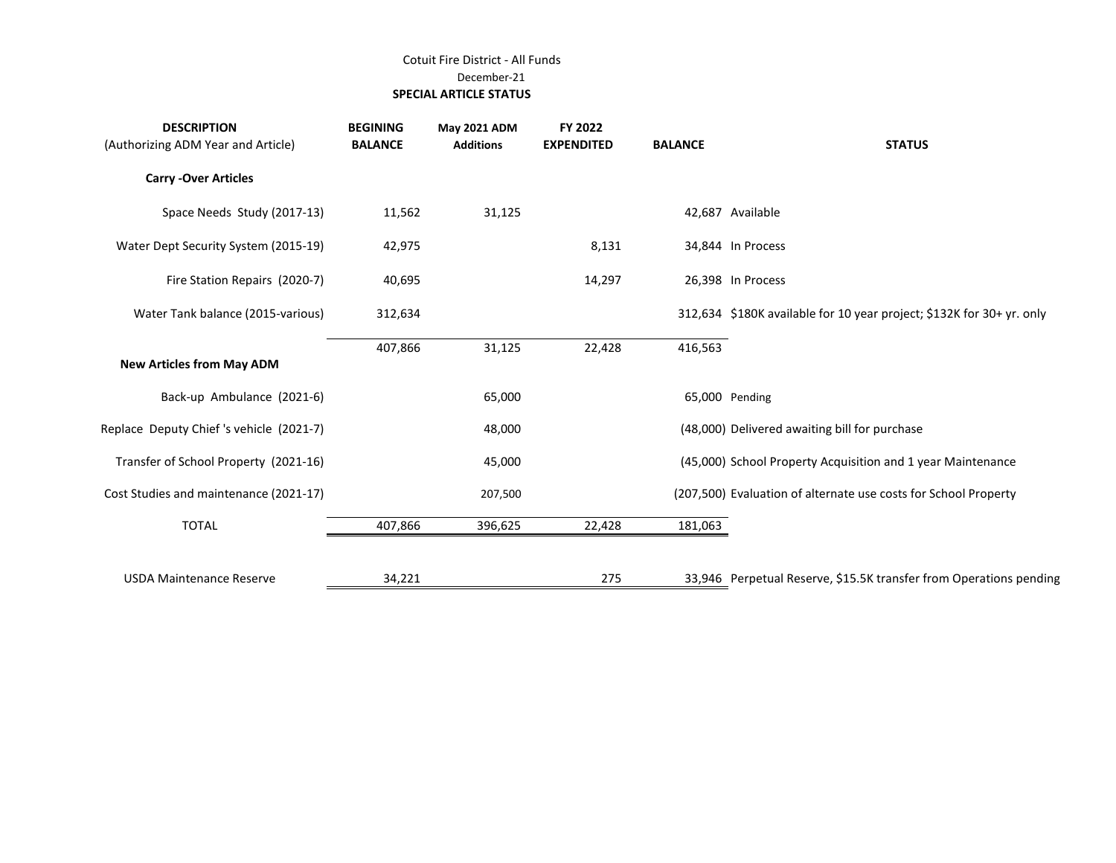## Cotuit Fire District - All Funds December-21  **SPECIAL ARTICLE STATUS**

| <b>DESCRIPTION</b><br>(Authorizing ADM Year and Article) | <b>BEGINING</b><br><b>BALANCE</b> | <b>May 2021 ADM</b><br><b>Additions</b> | FY 2022<br><b>EXPENDITED</b> | <b>BALANCE</b> | <b>STATUS</b>                                                         |
|----------------------------------------------------------|-----------------------------------|-----------------------------------------|------------------------------|----------------|-----------------------------------------------------------------------|
| <b>Carry -Over Articles</b>                              |                                   |                                         |                              |                |                                                                       |
| Space Needs Study (2017-13)                              | 11,562                            | 31,125                                  |                              |                | 42,687 Available                                                      |
| Water Dept Security System (2015-19)                     | 42,975                            |                                         | 8,131                        |                | 34,844 In Process                                                     |
| Fire Station Repairs (2020-7)                            | 40,695                            |                                         | 14,297                       |                | 26,398 In Process                                                     |
| Water Tank balance (2015-various)                        | 312,634                           |                                         |                              |                | 312,634 \$180K available for 10 year project; \$132K for 30+ yr. only |
| <b>New Articles from May ADM</b>                         | 407,866                           | 31,125                                  | 22,428                       | 416,563        |                                                                       |
| Back-up Ambulance (2021-6)                               |                                   | 65,000                                  |                              |                | 65,000 Pending                                                        |
| Replace Deputy Chief's vehicle (2021-7)                  |                                   | 48,000                                  |                              |                | (48,000) Delivered awaiting bill for purchase                         |
| Transfer of School Property (2021-16)                    |                                   | 45,000                                  |                              |                | (45,000) School Property Acquisition and 1 year Maintenance           |
| Cost Studies and maintenance (2021-17)                   |                                   | 207,500                                 |                              |                | (207,500) Evaluation of alternate use costs for School Property       |
| <b>TOTAL</b>                                             | 407,866                           | 396,625                                 | 22,428                       | 181,063        |                                                                       |
| <b>USDA Maintenance Reserve</b>                          | 34,221                            |                                         | 275                          |                | 33,946 Perpetual Reserve, \$15.5K transfer from Operations pending    |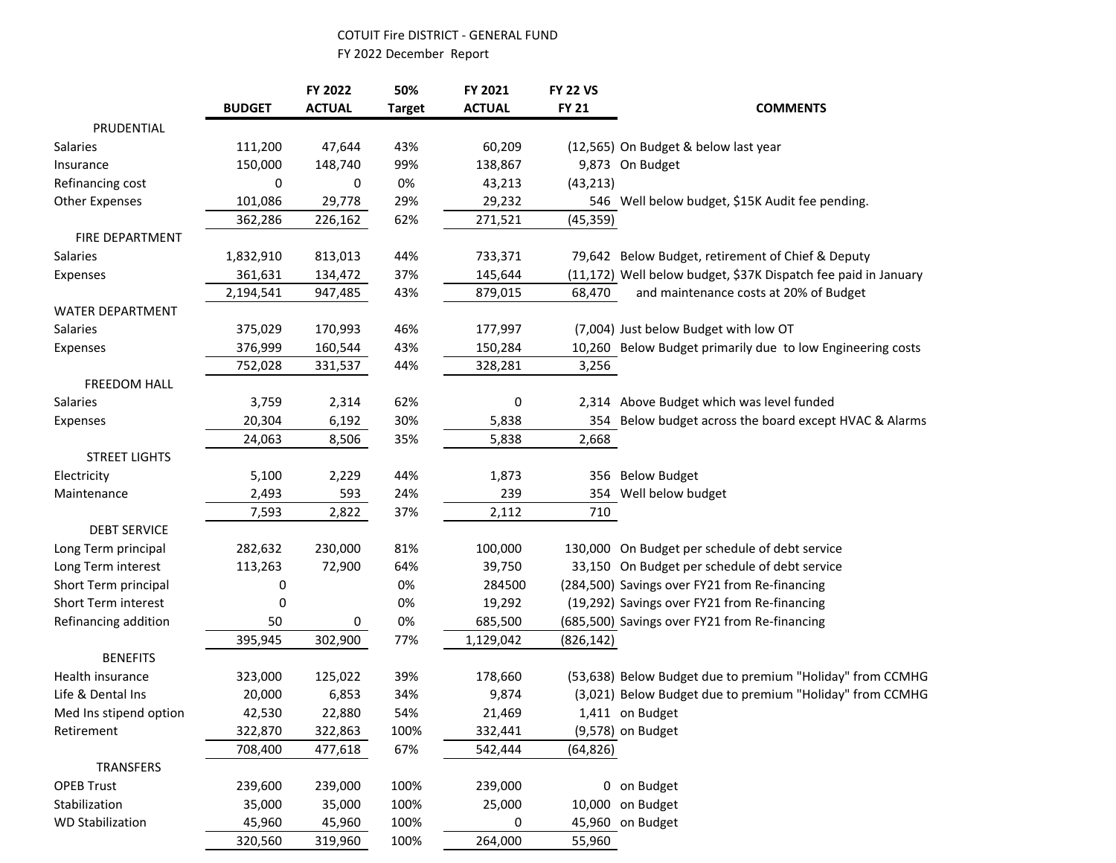## COTUIT Fire DISTRICT - GENERAL FUND

FY 2022 December Report

|                            |               | FY 2022       | 50%           | FY 2021       | <b>FY 22 VS</b> |                                                                |
|----------------------------|---------------|---------------|---------------|---------------|-----------------|----------------------------------------------------------------|
|                            | <b>BUDGET</b> | <b>ACTUAL</b> | <b>Target</b> | <b>ACTUAL</b> | <b>FY 21</b>    | <b>COMMENTS</b>                                                |
| PRUDENTIAL                 |               |               |               |               |                 |                                                                |
| <b>Salaries</b>            | 111,200       | 47,644        | 43%           | 60,209        |                 | (12,565) On Budget & below last year                           |
| Insurance                  | 150,000       | 148,740       | 99%           | 138,867       |                 | 9,873 On Budget                                                |
| Refinancing cost           | 0             | 0             | 0%            | 43,213        | (43, 213)       |                                                                |
| <b>Other Expenses</b>      | 101,086       | 29,778        | 29%           | 29,232        |                 | 546 Well below budget, \$15K Audit fee pending.                |
|                            | 362,286       | 226,162       | 62%           | 271,521       | (45, 359)       |                                                                |
| FIRE DEPARTMENT            |               |               |               |               |                 |                                                                |
| Salaries                   | 1,832,910     | 813,013       | 44%           | 733,371       |                 | 79,642 Below Budget, retirement of Chief & Deputy              |
| Expenses                   | 361,631       | 134,472       | 37%           | 145,644       |                 | (11,172) Well below budget, \$37K Dispatch fee paid in January |
|                            | 2,194,541     | 947,485       | 43%           | 879,015       | 68,470          | and maintenance costs at 20% of Budget                         |
| WATER DEPARTMENT           |               |               |               |               |                 |                                                                |
| Salaries                   | 375,029       | 170,993       | 46%           | 177,997       |                 | (7,004) Just below Budget with low OT                          |
| Expenses                   | 376,999       | 160,544       | 43%           | 150,284       |                 | 10,260 Below Budget primarily due to low Engineering costs     |
|                            | 752,028       | 331,537       | 44%           | 328,281       | 3,256           |                                                                |
| FREEDOM HALL               |               |               |               |               |                 |                                                                |
| Salaries                   | 3,759         | 2,314         | 62%           | 0             |                 | 2,314 Above Budget which was level funded                      |
| Expenses                   | 20,304        | 6,192         | 30%           | 5,838         | 354             | Below budget across the board except HVAC & Alarms             |
|                            | 24,063        | 8,506         | 35%           | 5,838         | 2,668           |                                                                |
| <b>STREET LIGHTS</b>       |               |               |               |               |                 |                                                                |
| Electricity                | 5,100         | 2,229         | 44%           | 1,873         | 356             | <b>Below Budget</b>                                            |
| Maintenance                | 2,493         | 593           | 24%           | 239           | 354             | Well below budget                                              |
|                            | 7,593         | 2,822         | 37%           | 2,112         | 710             |                                                                |
| <b>DEBT SERVICE</b>        |               |               |               |               |                 |                                                                |
| Long Term principal        | 282,632       | 230,000       | 81%           | 100,000       |                 | 130,000 On Budget per schedule of debt service                 |
| Long Term interest         | 113,263       | 72,900        | 64%           | 39,750        |                 | 33,150 On Budget per schedule of debt service                  |
| Short Term principal       | 0             |               | 0%            | 284500        |                 | (284,500) Savings over FY21 from Re-financing                  |
| <b>Short Term interest</b> | 0             |               | 0%            | 19,292        |                 | (19,292) Savings over FY21 from Re-financing                   |
| Refinancing addition       | 50            | 0             | 0%            | 685,500       |                 | (685,500) Savings over FY21 from Re-financing                  |
|                            | 395,945       | 302,900       | 77%           | 1,129,042     | (826, 142)      |                                                                |
| <b>BENEFITS</b>            |               |               |               |               |                 |                                                                |
| <b>Health insurance</b>    | 323,000       | 125,022       | 39%           | 178,660       |                 | (53,638) Below Budget due to premium "Holiday" from CCMHG      |
| Life & Dental Ins          | 20,000        | 6,853         | 34%           | 9,874         |                 | (3,021) Below Budget due to premium "Holiday" from CCMHG       |
| Med Ins stipend option     | 42,530        | 22,880        | 54%           | 21,469        |                 | 1,411 on Budget                                                |
| Retirement                 | 322,870       | 322,863       | 100%          | 332,441       |                 | (9,578) on Budget                                              |
|                            | 708,400       | 477,618       | 67%           | 542,444       | (64, 826)       |                                                                |
| TRANSFERS                  |               |               |               |               |                 |                                                                |
| <b>OPEB Trust</b>          | 239,600       | 239,000       | 100%          | 239,000       |                 | 0 on Budget                                                    |
| Stabilization              | 35,000        | 35,000        | 100%          | 25,000        |                 | 10,000 on Budget                                               |
| <b>WD Stabilization</b>    | 45,960        | 45,960        | 100%          | 0             |                 | 45,960 on Budget                                               |
|                            | 320,560       | 319,960       | 100%          | 264,000       | 55,960          |                                                                |